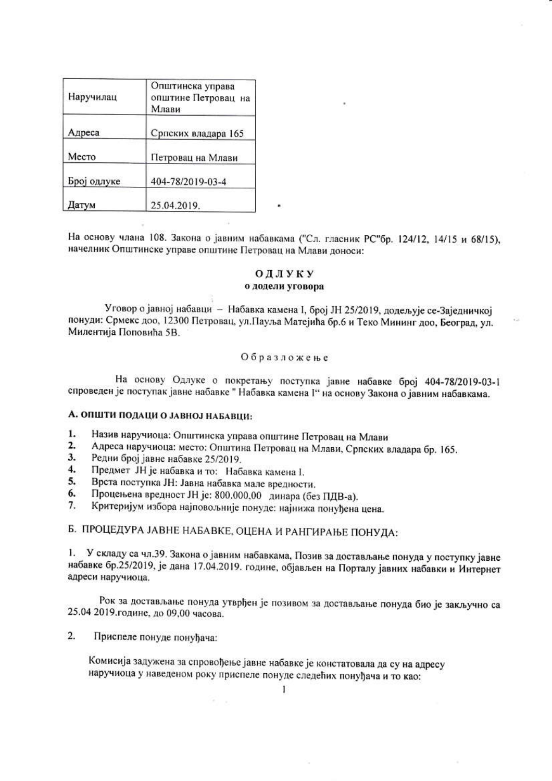| Наручилац   | Општинска управа<br>општине Петровац на<br>Млави |  |
|-------------|--------------------------------------------------|--|
| Адреса      | Српских владара 165                              |  |
| Место       | Петровац на Млави                                |  |
| Број одлуке | 404-78/2019-03-4                                 |  |
| Датум       | 25.04.2019.                                      |  |

На основу члана 108. Закона о јавним набавкама ("Сл. гласник РС"бр. 124/12, 14/15 и 68/15), начелник Општинске управе општине Петровац на Млави доноси:

## ОДЛУКУ

# о додели уговора

Уговор о јавној набавци - Набавка камена I, број ЈН 25/2019, додељује се-Заједничкој понуди: Срмекс доо, 12300 Петровац, ул. Пауља Матејића бр.6 и Теко Мининг доо, Београд, ул. Милентија Поповића 5В.

#### Образложење

На основу Одлуке о покретању поступка јавне набавке број 404-78/2019-03-1 спроведен је поступак јавне набавке "Набавка камена 1" на основу Закона о јавним набавкама.

# А. ОПШТИ ПОДАЦИ О ЈАВНОЈ НАБАВЦИ:

- 1. Назив наручиоца: Општинска управа општине Петровац на Млави
- Адреса наручиоца: место: Општина Петровац на Млави, Српских владара бр. 165.  $\mathbf{2}$ .
- $3.$ Редни број јавне набавке 25/2019.
- Предмет ЈН је набавка и то: Набавка камена I. 4.
- 5. Врста поступка ЈН: Јавна набавка мале вредности.
- Процењена вредност ЈН је: 800.000,00 динара (без ПДВ-а). 6.
- $7.$ Критеријум избора најповољније понуде: најнижа понуђена цена.

# Б. ПРОЦЕДУРА ЈАВНЕ НАБАВКЕ, ОЦЕНА И РАНГИРАЊЕ ПОНУДА:

1. У складу са чл.39. Закона о јавним набавкама, Позив за достављање понуда у поступку јавне набавке бр.25/2019, је дана 17.04.2019. године, објављен на Порталу јавних набавки и Интернет адреси наручиоца.

Рок за достављање понуда утврђен је позивом за достављање понуда био је закључно са 25.04 2019. године, до 09,00 часова.

 $\overline{2}$ . Приспеле понуде понуђача:

> Комисија задужена за спровођење јавне набавке је констатовала да су на адресу наручиоца у наведеном року приспеле понуде следећих понуђача и то као:

> > $\mathbf{I}$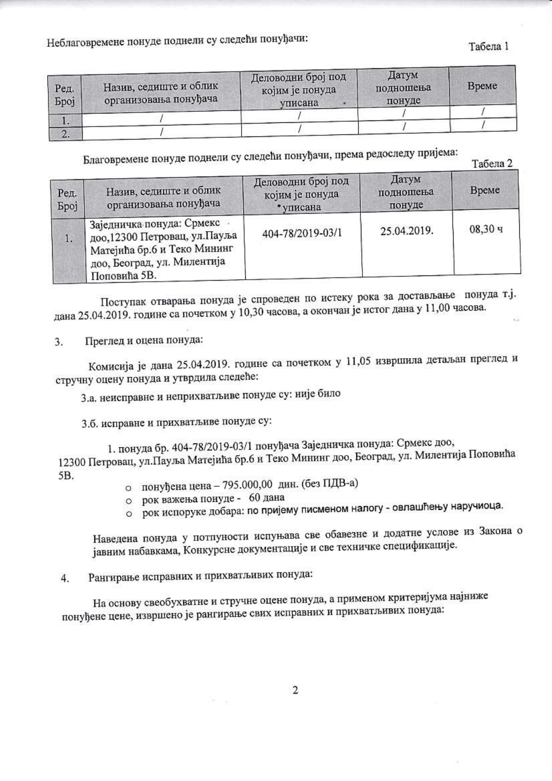Неблаговремене понуде поднели су следећи понуђачи:

#### Табела 1

| Ред.<br><b>Spoj</b> | Назив, седиште и облик<br>организовања понуђача | Деловодни број под<br>којим је понуда<br>уписана | Датум<br>подношења<br>понуде | Време |
|---------------------|-------------------------------------------------|--------------------------------------------------|------------------------------|-------|
|                     |                                                 |                                                  |                              |       |
| VIII W.             |                                                 |                                                  |                              |       |

Благовремене понуде поднели су следећи понуђачи, према редоследу пријема:

Табела 2

| Ред.<br><b>Bpoj</b> | Назив, седиште и облик<br>организовања понуђача                                                                                           | Деловодни број под<br>којим је понуда<br>• уписана | Датум<br>подношења<br>понуде | Време   |
|---------------------|-------------------------------------------------------------------------------------------------------------------------------------------|----------------------------------------------------|------------------------------|---------|
| 1.                  | Заједничка понуда: Срмекс<br>доо, 12300 Петровац, ул. Пауља<br>Матејића бр.6 и Теко Мининг<br>доо, Београд, ул. Милентија<br>Поповића 5В. | 404-78/2019-03/1                                   | 25.04.2019.                  | 08,30,4 |

Поступак отварања понуда је спроведен по истеку рока за достављање понуда т.ј. дана 25.04.2019. године са почетком у 10,30 часова, а окончан је истог дана у 11,00 часова.

Преглед и оцена понуда: 3.

Комисија је дана 25.04.2019. године са почетком у 11,05 извршила детаљан преглед и стручну оцену понуда и утврдила следеће:

3.а. неисправне и неприхватљиве понуде су: није било

3.б. исправне и прихватљиве понуде су:

1. понуда бр. 404-78/2019-03/1 понуђача Заједничка понуда: Срмекс доо, 12300 Петровац, ул. Пауља Матејића бр.6 и Теко Мининг доо, Београд, ул. Милентија Поповића 5B.

- о понуђена цена 795.000,00 дин. (без ПДВ-а)
- о рок важења понуде 60 дана
- о рок испоруке добара: по пријему писменом налогу овлашћењу наручиоца.

Наведена понуда у потпуности испуњава све обавезне и додатне услове из Закона о јавним набавкама, Конкурсне документације и све техничке спецификације.

Рангирање исправних и прихватљивих понуда:  $4.$ 

На основу свеобухватне и стручне оцене понуда, а применом критеријума најниже понуђене цене, извршено је рангирање свих исправних и прихватљивих понуда: